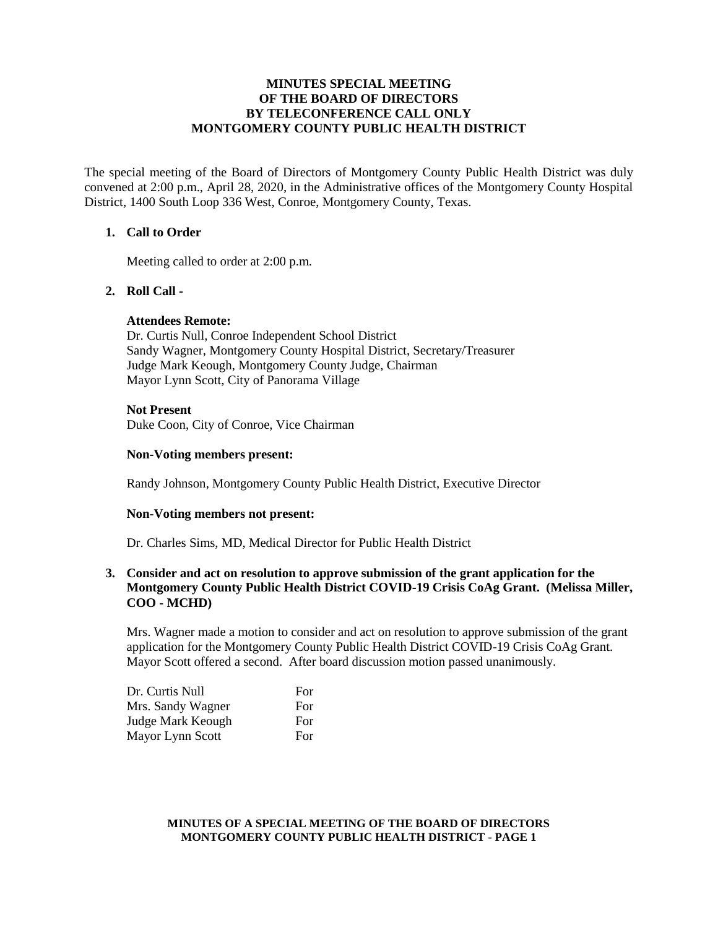# **MINUTES SPECIAL MEETING OF THE BOARD OF DIRECTORS BY TELECONFERENCE CALL ONLY MONTGOMERY COUNTY PUBLIC HEALTH DISTRICT**

The special meeting of the Board of Directors of Montgomery County Public Health District was duly convened at 2:00 p.m., April 28, 2020, in the Administrative offices of the Montgomery County Hospital District, 1400 South Loop 336 West, Conroe, Montgomery County, Texas.

# **1. Call to Order**

Meeting called to order at 2:00 p.m.

# **2. Roll Call -**

### **Attendees Remote:**

Dr. Curtis Null, Conroe Independent School District Sandy Wagner, Montgomery County Hospital District, Secretary/Treasurer Judge Mark Keough, Montgomery County Judge, Chairman Mayor Lynn Scott, City of Panorama Village

# **Not Present**

Duke Coon, City of Conroe, Vice Chairman

### **Non-Voting members present:**

Randy Johnson, Montgomery County Public Health District, Executive Director

#### **Non-Voting members not present:**

Dr. Charles Sims, MD, Medical Director for Public Health District

# **3. Consider and act on resolution to approve submission of the grant application for the Montgomery County Public Health District COVID-19 Crisis CoAg Grant. (Melissa Miller, COO - MCHD)**

Mrs. Wagner made a motion to consider and act on resolution to approve submission of the grant application for the Montgomery County Public Health District COVID-19 Crisis CoAg Grant. Mayor Scott offered a second. After board discussion motion passed unanimously.

| Dr. Curtis Null   | For |
|-------------------|-----|
| Mrs. Sandy Wagner | For |
| Judge Mark Keough | For |
| Mayor Lynn Scott  | For |

#### **MINUTES OF A SPECIAL MEETING OF THE BOARD OF DIRECTORS MONTGOMERY COUNTY PUBLIC HEALTH DISTRICT - PAGE 1**